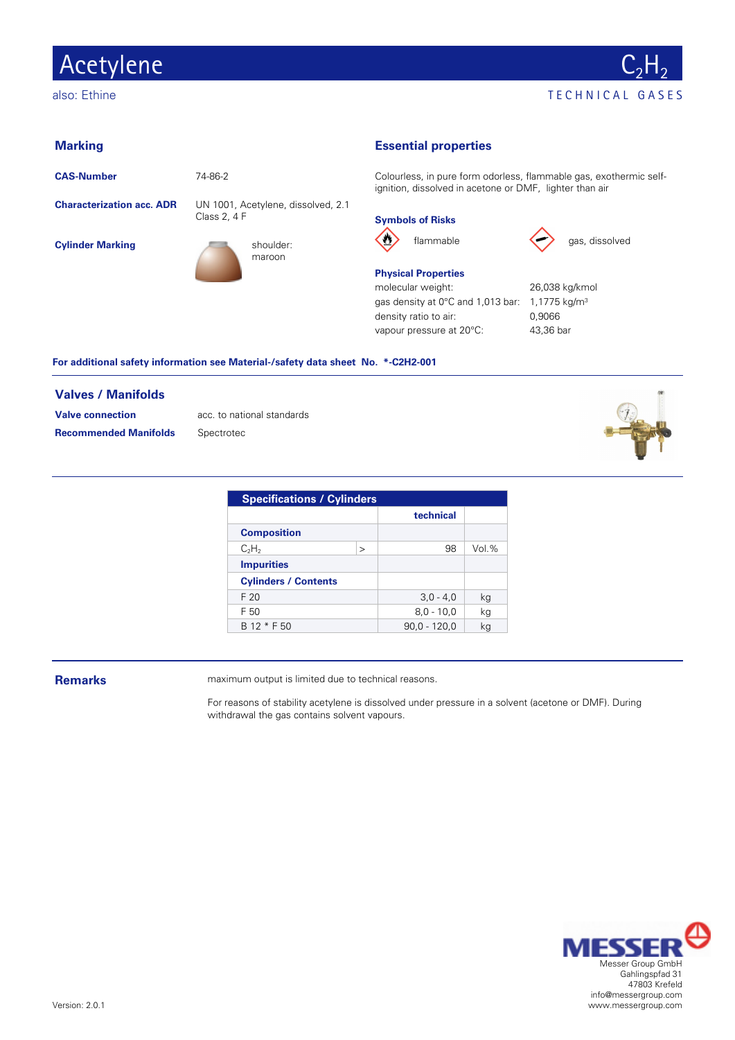## Acetylene



#### **Marking**

**CAS-Number** 74-86-2

**Characterization acc. ADR** UN 1001, Acetylene, dissolved, 2.1

**Cylinder Marking Shoulder:** Shoulder:





### **Essential properties**

Colourless, in pure form odorless, flammable gas, exothermic selfignition, dissolved in acetone or DMF, lighter than air

### **Symbols of Risks**





flammable gas, dissolved

#### **Physical Properties**

molecular weight: 26,038 kg/kmol gas density at 0°C and 1,013 bar: 1,1775 kg/m<sup>3</sup> density ratio to air: 0,9066 vapour pressure at 20°C: 43,36 bar

#### **For additional safety information see Material-/safety data sheet No. \*-C2H2-001**

#### **Valves / Manifolds**

**Valve connection** acc. to national standards **Recommended Manifolds** Spectrotec



| <b>Specifications / Cylinders</b> |              |                |        |  |  |  |  |
|-----------------------------------|--------------|----------------|--------|--|--|--|--|
|                                   |              | technical      |        |  |  |  |  |
| <b>Composition</b>                |              |                |        |  |  |  |  |
| $C_2H_2$                          | $\mathbf{I}$ | 98             | Vol. % |  |  |  |  |
| <b>Impurities</b>                 |              |                |        |  |  |  |  |
| <b>Cylinders / Contents</b>       |              |                |        |  |  |  |  |
| F <sub>20</sub>                   |              | $3,0 - 4,0$    | ka     |  |  |  |  |
| F 50                              |              | $8,0 - 10,0$   | ka     |  |  |  |  |
| B 12 * F 50                       |              | $90.0 - 120.0$ | ka     |  |  |  |  |

**Remarks** maximum output is limited due to technical reasons.

For reasons of stability acetylene is dissolved under pressure in a solvent (acetone or DMF). During withdrawal the gas contains solvent vapours.